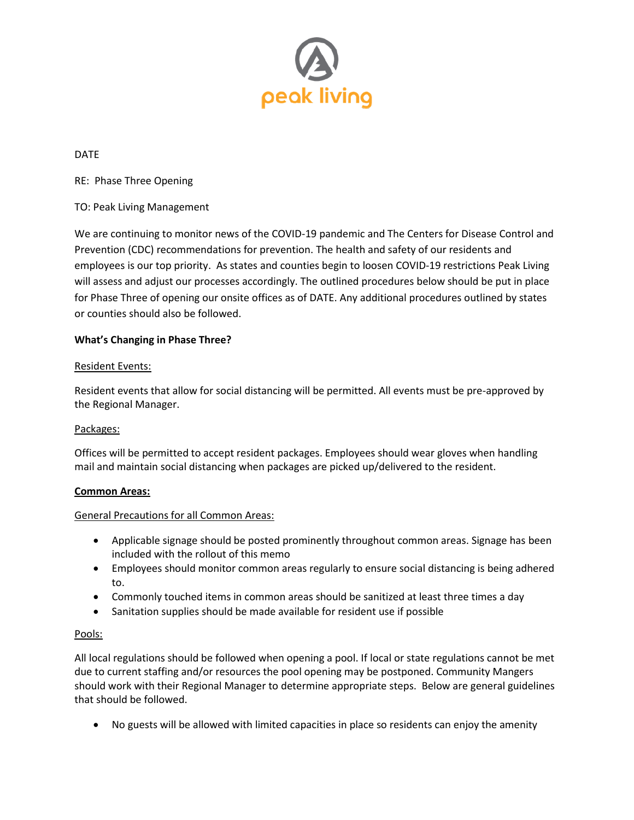

DATE

RE: Phase Three Opening

### TO: Peak Living Management

We are continuing to monitor news of the COVID-19 pandemic and The Centers for Disease Control and Prevention (CDC) recommendations for prevention. The health and safety of our residents and employees is our top priority. As states and counties begin to loosen COVID-19 restrictions Peak Living will assess and adjust our processes accordingly. The outlined procedures below should be put in place for Phase Three of opening our onsite offices as of DATE. Any additional procedures outlined by states or counties should also be followed.

### **What's Changing in Phase Three?**

### Resident Events:

Resident events that allow for social distancing will be permitted. All events must be pre-approved by the Regional Manager.

#### Packages:

Offices will be permitted to accept resident packages. Employees should wear gloves when handling mail and maintain social distancing when packages are picked up/delivered to the resident.

#### **Common Areas:**

#### General Precautions for all Common Areas:

- Applicable signage should be posted prominently throughout common areas. Signage has been included with the rollout of this memo
- Employees should monitor common areas regularly to ensure social distancing is being adhered to.
- Commonly touched items in common areas should be sanitized at least three times a day
- Sanitation supplies should be made available for resident use if possible

#### Pools:

All local regulations should be followed when opening a pool. If local or state regulations cannot be met due to current staffing and/or resources the pool opening may be postponed. Community Mangers should work with their Regional Manager to determine appropriate steps. Below are general guidelines that should be followed.

• No guests will be allowed with limited capacities in place so residents can enjoy the amenity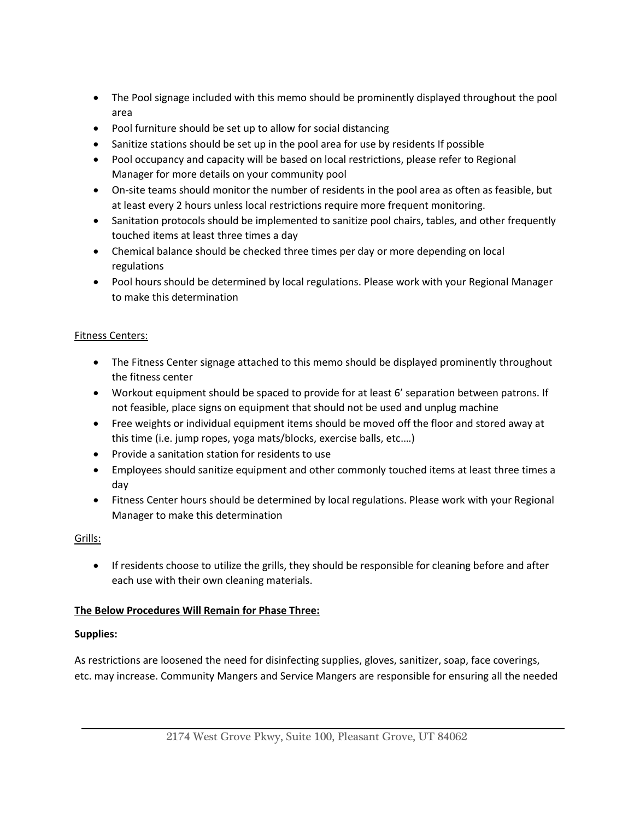- The Pool signage included with this memo should be prominently displayed throughout the pool area
- Pool furniture should be set up to allow for social distancing
- Sanitize stations should be set up in the pool area for use by residents If possible
- Pool occupancy and capacity will be based on local restrictions, please refer to Regional Manager for more details on your community pool
- On-site teams should monitor the number of residents in the pool area as often as feasible, but at least every 2 hours unless local restrictions require more frequent monitoring.
- Sanitation protocols should be implemented to sanitize pool chairs, tables, and other frequently touched items at least three times a day
- Chemical balance should be checked three times per day or more depending on local regulations
- Pool hours should be determined by local regulations. Please work with your Regional Manager to make this determination

# Fitness Centers:

- The Fitness Center signage attached to this memo should be displayed prominently throughout the fitness center
- Workout equipment should be spaced to provide for at least 6' separation between patrons. If not feasible, place signs on equipment that should not be used and unplug machine
- Free weights or individual equipment items should be moved off the floor and stored away at this time (i.e. jump ropes, yoga mats/blocks, exercise balls, etc.…)
- Provide a sanitation station for residents to use
- Employees should sanitize equipment and other commonly touched items at least three times a day
- Fitness Center hours should be determined by local regulations. Please work with your Regional Manager to make this determination

### Grills:

• If residents choose to utilize the grills, they should be responsible for cleaning before and after each use with their own cleaning materials.

### **The Below Procedures Will Remain for Phase Three:**

### **Supplies:**

As restrictions are loosened the need for disinfecting supplies, gloves, sanitizer, soap, face coverings, etc. may increase. Community Mangers and Service Mangers are responsible for ensuring all the needed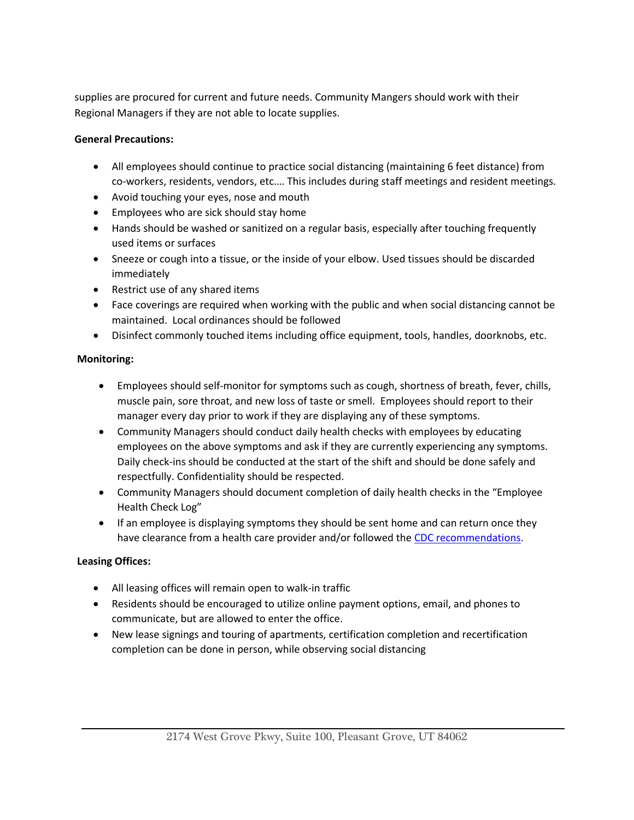supplies are procured for current and future needs. Community Mangers should work with their Regional Managers if they are not able to locate supplies.

## **General Precautions:**

- All employees should continue to practice social distancing (maintaining 6 feet distance) from co-workers, residents, vendors, etc.… This includes during staff meetings and resident meetings.
- Avoid touching your eyes, nose and mouth
- Employees who are sick should stay home
- Hands should be washed or sanitized on a regular basis, especially after touching frequently used items or surfaces
- Sneeze or cough into a tissue, or the inside of your elbow. Used tissues should be discarded immediately
- Restrict use of any shared items
- Face coverings are required when working with the public and when social distancing cannot be maintained. Local ordinances should be followed
- Disinfect commonly touched items including office equipment, tools, handles, doorknobs, etc.

## **Monitoring:**

- Employees should self-monitor for symptoms such as cough, shortness of breath, fever, chills, muscle pain, sore throat, and new loss of taste or smell. Employees should report to their manager every day prior to work if they are displaying any of these symptoms.
- Community Managers should conduct daily health checks with employees by educating employees on the above symptoms and ask if they are currently experiencing any symptoms. Daily check-ins should be conducted at the start of the shift and should be done safely and respectfully. Confidentiality should be respected.
- Community Managers should document completion of daily health checks in the "Employee Health Check Log"
- If an employee is displaying symptoms they should be sent home and can return once they have clearance from a health care provider and/or followed the [CDC recommendations.](https://www.cdc.gov/coronavirus/2019-ncov/if-you-are-sick/steps-when-sick.html)

# **Leasing Offices:**

- All leasing offices will remain open to walk-in traffic
- Residents should be encouraged to utilize online payment options, email, and phones to communicate, but are allowed to enter the office.
- New lease signings and touring of apartments, certification completion and recertification completion can be done in person, while observing social distancing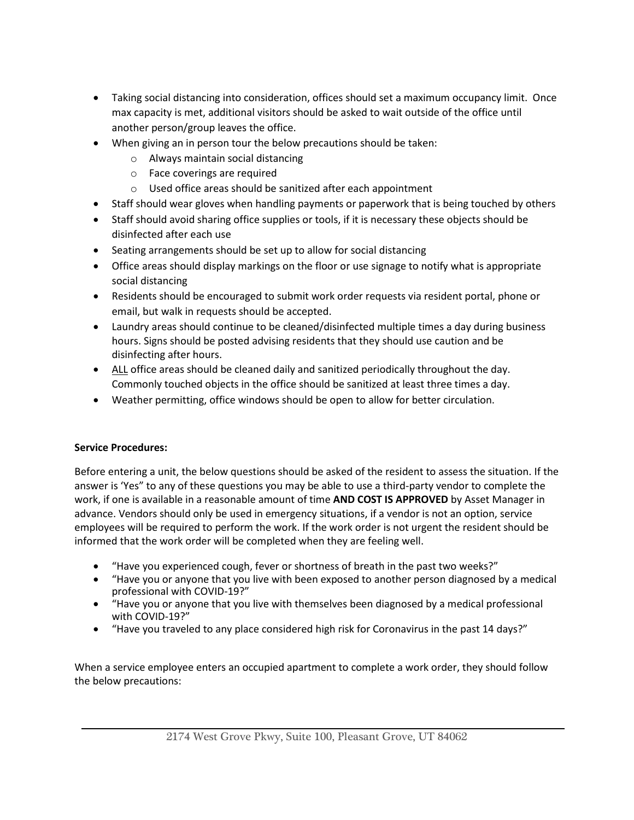- Taking social distancing into consideration, offices should set a maximum occupancy limit. Once max capacity is met, additional visitors should be asked to wait outside of the office until another person/group leaves the office.
- When giving an in person tour the below precautions should be taken:
	- o Always maintain social distancing
	- o Face coverings are required
	- o Used office areas should be sanitized after each appointment
- Staff should wear gloves when handling payments or paperwork that is being touched by others
- Staff should avoid sharing office supplies or tools, if it is necessary these objects should be disinfected after each use
- Seating arrangements should be set up to allow for social distancing
- Office areas should display markings on the floor or use signage to notify what is appropriate social distancing
- Residents should be encouraged to submit work order requests via resident portal, phone or email, but walk in requests should be accepted.
- Laundry areas should continue to be cleaned/disinfected multiple times a day during business hours. Signs should be posted advising residents that they should use caution and be disinfecting after hours.
- ALL office areas should be cleaned daily and sanitized periodically throughout the day. Commonly touched objects in the office should be sanitized at least three times a day.
- Weather permitting, office windows should be open to allow for better circulation.

# **Service Procedures:**

Before entering a unit, the below questions should be asked of the resident to assess the situation. If the answer is 'Yes" to any of these questions you may be able to use a third-party vendor to complete the work, if one is available in a reasonable amount of time **AND COST IS APPROVED** by Asset Manager in advance. Vendors should only be used in emergency situations, if a vendor is not an option, service employees will be required to perform the work. If the work order is not urgent the resident should be informed that the work order will be completed when they are feeling well.

- "Have you experienced cough, fever or shortness of breath in the past two weeks?"
- "Have you or anyone that you live with been exposed to another person diagnosed by a medical professional with COVID-19?"
- "Have you or anyone that you live with themselves been diagnosed by a medical professional with COVID-19?"
- "Have you traveled to any place considered high risk for Coronavirus in the past 14 days?"

When a service employee enters an occupied apartment to complete a work order, they should follow the below precautions: